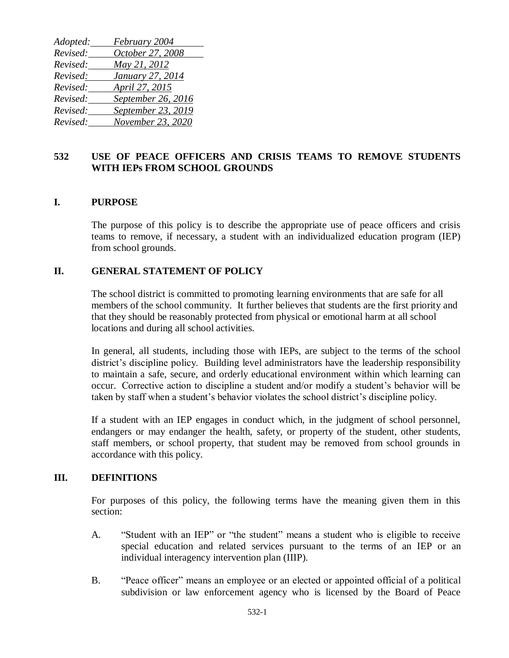| Adopted: | February 2004      |
|----------|--------------------|
| Revised: | October 27, 2008   |
| Revised: | May 21, 2012       |
| Revised: | January 27, 2014   |
| Revised: | April 27, 2015     |
| Revised: | September 26, 2016 |
| Revised: | September 23, 2019 |
| Revised: | November 23, 2020  |

# **532 USE OF PEACE OFFICERS AND CRISIS TEAMS TO REMOVE STUDENTS WITH IEPs FROM SCHOOL GROUNDS**

### **I. PURPOSE**

The purpose of this policy is to describe the appropriate use of peace officers and crisis teams to remove, if necessary, a student with an individualized education program (IEP) from school grounds.

### **II. GENERAL STATEMENT OF POLICY**

The school district is committed to promoting learning environments that are safe for all members of the school community. It further believes that students are the first priority and that they should be reasonably protected from physical or emotional harm at all school locations and during all school activities.

In general, all students, including those with IEPs, are subject to the terms of the school district's discipline policy. Building level administrators have the leadership responsibility to maintain a safe, secure, and orderly educational environment within which learning can occur. Corrective action to discipline a student and/or modify a student's behavior will be taken by staff when a student's behavior violates the school district's discipline policy.

If a student with an IEP engages in conduct which, in the judgment of school personnel, endangers or may endanger the health, safety, or property of the student, other students, staff members, or school property, that student may be removed from school grounds in accordance with this policy.

### **III. DEFINITIONS**

For purposes of this policy, the following terms have the meaning given them in this section:

- A. "Student with an IEP" or "the student" means a student who is eligible to receive special education and related services pursuant to the terms of an IEP or an individual interagency intervention plan (IIIP).
- B. "Peace officer" means an employee or an elected or appointed official of a political subdivision or law enforcement agency who is licensed by the Board of Peace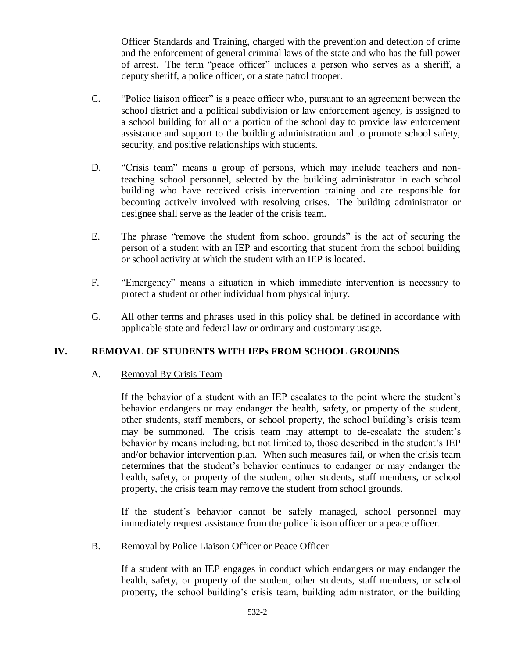Officer Standards and Training, charged with the prevention and detection of crime and the enforcement of general criminal laws of the state and who has the full power of arrest. The term "peace officer" includes a person who serves as a sheriff, a deputy sheriff, a police officer, or a state patrol trooper.

- C. "Police liaison officer" is a peace officer who, pursuant to an agreement between the school district and a political subdivision or law enforcement agency, is assigned to a school building for all or a portion of the school day to provide law enforcement assistance and support to the building administration and to promote school safety, security, and positive relationships with students.
- D. "Crisis team" means a group of persons, which may include teachers and nonteaching school personnel, selected by the building administrator in each school building who have received crisis intervention training and are responsible for becoming actively involved with resolving crises. The building administrator or designee shall serve as the leader of the crisis team.
- E. The phrase "remove the student from school grounds" is the act of securing the person of a student with an IEP and escorting that student from the school building or school activity at which the student with an IEP is located.
- F. "Emergency" means a situation in which immediate intervention is necessary to protect a student or other individual from physical injury.
- G. All other terms and phrases used in this policy shall be defined in accordance with applicable state and federal law or ordinary and customary usage.

# **IV. REMOVAL OF STUDENTS WITH IEPs FROM SCHOOL GROUNDS**

## A. Removal By Crisis Team

If the behavior of a student with an IEP escalates to the point where the student's behavior endangers or may endanger the health, safety, or property of the student, other students, staff members, or school property, the school building's crisis team may be summoned. The crisis team may attempt to de-escalate the student's behavior by means including, but not limited to, those described in the student's IEP and/or behavior intervention plan. When such measures fail, or when the crisis team determines that the student's behavior continues to endanger or may endanger the health, safety, or property of the student, other students, staff members, or school property, the crisis team may remove the student from school grounds.

If the student's behavior cannot be safely managed, school personnel may immediately request assistance from the police liaison officer or a peace officer.

### B. Removal by Police Liaison Officer or Peace Officer

If a student with an IEP engages in conduct which endangers or may endanger the health, safety, or property of the student, other students, staff members, or school property, the school building's crisis team, building administrator, or the building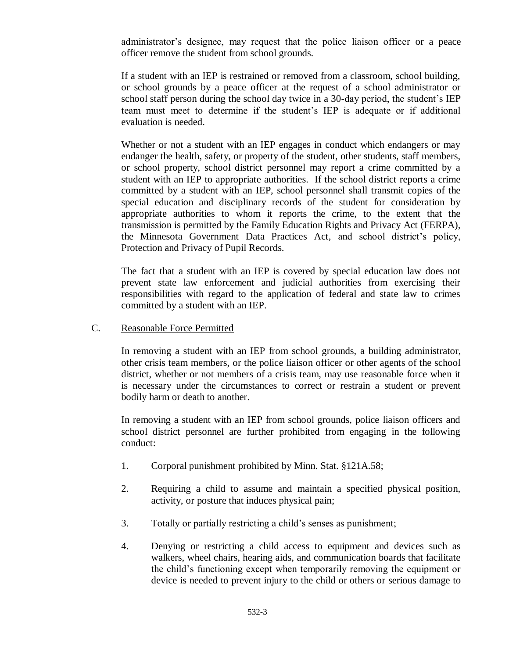administrator's designee, may request that the police liaison officer or a peace officer remove the student from school grounds.

If a student with an IEP is restrained or removed from a classroom, school building, or school grounds by a peace officer at the request of a school administrator or school staff person during the school day twice in a 30-day period, the student's IEP team must meet to determine if the student's IEP is adequate or if additional evaluation is needed.

Whether or not a student with an IEP engages in conduct which endangers or may endanger the health, safety, or property of the student, other students, staff members, or school property, school district personnel may report a crime committed by a student with an IEP to appropriate authorities. If the school district reports a crime committed by a student with an IEP, school personnel shall transmit copies of the special education and disciplinary records of the student for consideration by appropriate authorities to whom it reports the crime, to the extent that the transmission is permitted by the Family Education Rights and Privacy Act (FERPA), the Minnesota Government Data Practices Act, and school district's policy, Protection and Privacy of Pupil Records.

The fact that a student with an IEP is covered by special education law does not prevent state law enforcement and judicial authorities from exercising their responsibilities with regard to the application of federal and state law to crimes committed by a student with an IEP.

#### C. Reasonable Force Permitted

In removing a student with an IEP from school grounds, a building administrator, other crisis team members, or the police liaison officer or other agents of the school district, whether or not members of a crisis team, may use reasonable force when it is necessary under the circumstances to correct or restrain a student or prevent bodily harm or death to another.

In removing a student with an IEP from school grounds, police liaison officers and school district personnel are further prohibited from engaging in the following conduct:

- 1. Corporal punishment prohibited by Minn. Stat. §121A.58;
- 2. Requiring a child to assume and maintain a specified physical position, activity, or posture that induces physical pain;
- 3. Totally or partially restricting a child's senses as punishment;
- 4. Denying or restricting a child access to equipment and devices such as walkers, wheel chairs, hearing aids, and communication boards that facilitate the child's functioning except when temporarily removing the equipment or device is needed to prevent injury to the child or others or serious damage to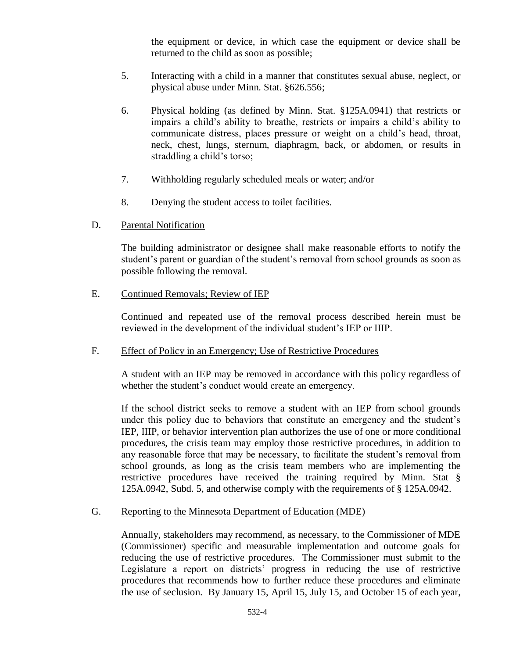the equipment or device, in which case the equipment or device shall be returned to the child as soon as possible;

- 5. Interacting with a child in a manner that constitutes sexual abuse, neglect, or physical abuse under Minn. Stat. §626.556;
- 6. Physical holding (as defined by Minn. Stat. §125A.0941) that restricts or impairs a child's ability to breathe, restricts or impairs a child's ability to communicate distress, places pressure or weight on a child's head, throat, neck, chest, lungs, sternum, diaphragm, back, or abdomen, or results in straddling a child's torso;
- 7. Withholding regularly scheduled meals or water; and/or
- 8. Denying the student access to toilet facilities.
- D. Parental Notification

The building administrator or designee shall make reasonable efforts to notify the student's parent or guardian of the student's removal from school grounds as soon as possible following the removal.

E. Continued Removals; Review of IEP

Continued and repeated use of the removal process described herein must be reviewed in the development of the individual student's IEP or IIIP.

### F. Effect of Policy in an Emergency; Use of Restrictive Procedures

A student with an IEP may be removed in accordance with this policy regardless of whether the student's conduct would create an emergency.

If the school district seeks to remove a student with an IEP from school grounds under this policy due to behaviors that constitute an emergency and the student's IEP, IIIP, or behavior intervention plan authorizes the use of one or more conditional procedures, the crisis team may employ those restrictive procedures, in addition to any reasonable force that may be necessary, to facilitate the student's removal from school grounds, as long as the crisis team members who are implementing the restrictive procedures have received the training required by Minn. Stat § 125A.0942, Subd. 5, and otherwise comply with the requirements of § 125A.0942.

### G. Reporting to the Minnesota Department of Education (MDE)

Annually, stakeholders may recommend, as necessary, to the Commissioner of MDE (Commissioner) specific and measurable implementation and outcome goals for reducing the use of restrictive procedures. The Commissioner must submit to the Legislature a report on districts' progress in reducing the use of restrictive procedures that recommends how to further reduce these procedures and eliminate the use of seclusion. By January 15, April 15, July 15, and October 15 of each year,